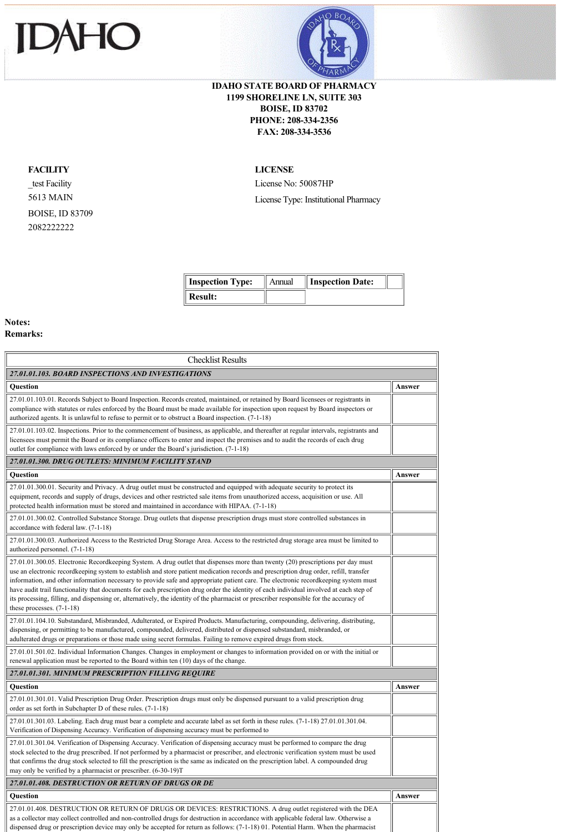



## **IDAHO STATE BOARD OF PHARMACY 1199 SHORELINE LN, SUITE 303 BOISE, ID 83702 PHONE: 208-334-2356 FAX: 208-334-3536**

## **FACILITY**

\_test Facility 5613 MAIN BOISE, ID 83709 2082222222

## **LICENSE**

License No: 50087HP

License Type: Institutional Pharmacy

| <b>Inspection Type:</b> | Annual | <b>Inspection Date:</b> |  |
|-------------------------|--------|-------------------------|--|
| Result:                 |        |                         |  |

## **Notes: Remarks:**

| <b>Checklist Results</b>                                                                                                                                                                                                                                                                                                                                                                                                                                                                                                                                                                                                                                                                                                              |        |  |
|---------------------------------------------------------------------------------------------------------------------------------------------------------------------------------------------------------------------------------------------------------------------------------------------------------------------------------------------------------------------------------------------------------------------------------------------------------------------------------------------------------------------------------------------------------------------------------------------------------------------------------------------------------------------------------------------------------------------------------------|--------|--|
| 27.01.01.103. BOARD INSPECTIONS AND INVESTIGATIONS                                                                                                                                                                                                                                                                                                                                                                                                                                                                                                                                                                                                                                                                                    |        |  |
| <b>Ouestion</b>                                                                                                                                                                                                                                                                                                                                                                                                                                                                                                                                                                                                                                                                                                                       | Answer |  |
| 27.01.01.103.01. Records Subject to Board Inspection. Records created, maintained, or retained by Board licensees or registrants in<br>compliance with statutes or rules enforced by the Board must be made available for inspection upon request by Board inspectors or<br>authorized agents. It is unlawful to refuse to permit or to obstruct a Board inspection. (7-1-18)                                                                                                                                                                                                                                                                                                                                                         |        |  |
| 27.01.01.103.02. Inspections. Prior to the commencement of business, as applicable, and thereafter at regular intervals, registrants and<br>licensees must permit the Board or its compliance officers to enter and inspect the premises and to audit the records of each drug<br>outlet for compliance with laws enforced by or under the Board's jurisdiction. (7-1-18)                                                                                                                                                                                                                                                                                                                                                             |        |  |
| 27.01.01.300. DRUG OUTLETS: MINIMUM FACILITY STAND                                                                                                                                                                                                                                                                                                                                                                                                                                                                                                                                                                                                                                                                                    |        |  |
| Question                                                                                                                                                                                                                                                                                                                                                                                                                                                                                                                                                                                                                                                                                                                              | Answer |  |
| 27.01.01.300.01. Security and Privacy. A drug outlet must be constructed and equipped with adequate security to protect its<br>equipment, records and supply of drugs, devices and other restricted sale items from unauthorized access, acquisition or use. All<br>protected health information must be stored and maintained in accordance with HIPAA. (7-1-18)                                                                                                                                                                                                                                                                                                                                                                     |        |  |
| 27.01.01.300.02. Controlled Substance Storage. Drug outlets that dispense prescription drugs must store controlled substances in<br>accordance with federal law. (7-1-18)                                                                                                                                                                                                                                                                                                                                                                                                                                                                                                                                                             |        |  |
| 27.01.01.300.03. Authorized Access to the Restricted Drug Storage Area. Access to the restricted drug storage area must be limited to<br>authorized personnel. (7-1-18)                                                                                                                                                                                                                                                                                                                                                                                                                                                                                                                                                               |        |  |
| 27.01.01.300.05. Electronic Recordkeeping System. A drug outlet that dispenses more than twenty (20) prescriptions per day must<br>use an electronic recordkeeping system to establish and store patient medication records and prescription drug order, refill, transfer<br>information, and other information necessary to provide safe and appropriate patient care. The electronic recordkeeping system must<br>have audit trail functionality that documents for each prescription drug order the identity of each individual involved at each step of<br>its processing, filling, and dispensing or, alternatively, the identity of the pharmacist or prescriber responsible for the accuracy of<br>these processes. $(7-1-18)$ |        |  |
| 27.01.01.104.10. Substandard, Misbranded, Adulterated, or Expired Products. Manufacturing, compounding, delivering, distributing,<br>dispensing, or permitting to be manufactured, compounded, delivered, distributed or dispensed substandard, misbranded, or<br>adulterated drugs or preparations or those made using secret formulas. Failing to remove expired drugs from stock.                                                                                                                                                                                                                                                                                                                                                  |        |  |
| 27.01.01.501.02. Individual Information Changes. Changes in employment or changes to information provided on or with the initial or<br>renewal application must be reported to the Board within ten (10) days of the change.                                                                                                                                                                                                                                                                                                                                                                                                                                                                                                          |        |  |
| 27.01.01.301. MINIMUM PRESCRIPTION FILLING REQUIRE                                                                                                                                                                                                                                                                                                                                                                                                                                                                                                                                                                                                                                                                                    |        |  |
| <b>Ouestion</b>                                                                                                                                                                                                                                                                                                                                                                                                                                                                                                                                                                                                                                                                                                                       | Answer |  |
| 27.01.01.301.01. Valid Prescription Drug Order. Prescription drugs must only be dispensed pursuant to a valid prescription drug<br>order as set forth in Subchapter D of these rules. (7-1-18)                                                                                                                                                                                                                                                                                                                                                                                                                                                                                                                                        |        |  |
| $27.01.01.301.03$ . Labeling. Each drug must bear a complete and accurate label as set forth in these rules. $(7-1-18)$ 27.01.01.301.04.<br>Verification of Dispensing Accuracy. Verification of dispensing accuracy must be performed to                                                                                                                                                                                                                                                                                                                                                                                                                                                                                             |        |  |
| 27.01.01.301.04. Verification of Dispensing Accuracy. Verification of dispensing accuracy must be performed to compare the drug<br>stock selected to the drug prescribed. If not performed by a pharmacist or prescriber, and electronic verification system must be used<br>that confirms the drug stock selected to fill the prescription is the same as indicated on the prescription label. A compounded drug<br>may only be verified by a pharmacist or prescriber. (6-30-19)T                                                                                                                                                                                                                                                   |        |  |
| 27.01.01.408. DESTRUCTION OR RETURN OF DRUGS OR DE                                                                                                                                                                                                                                                                                                                                                                                                                                                                                                                                                                                                                                                                                    |        |  |
| Question                                                                                                                                                                                                                                                                                                                                                                                                                                                                                                                                                                                                                                                                                                                              | Answer |  |
| 27.01.01.408. DESTRUCTION OR RETURN OF DRUGS OR DEVICES: RESTRICTIONS. A drug outlet registered with the DEA<br>as a collector may collect controlled and non-controlled drugs for destruction in accordance with applicable federal law. Otherwise a<br>dispensed drug or prescription device may only be accepted for return as follows: (7-1-18) 01. Potential Harm. When the pharmacist                                                                                                                                                                                                                                                                                                                                           |        |  |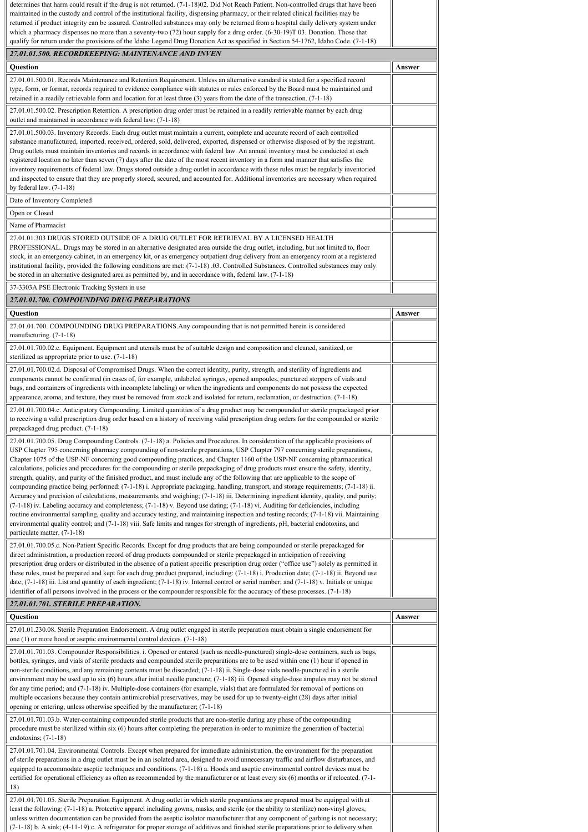| determines that harm could result if the drug is not returned. (7-1-18)02. Did Not Reach Patient. Non-controlled drugs that have been<br>maintained in the custody and control of the institutional facility, dispensing pharmacy, or their related clinical facilities may be<br>returned if product integrity can be assured. Controlled substances may only be returned from a hospital daily delivery system under<br>which a pharmacy dispenses no more than a seventy-two $(72)$ hour supply for a drug order. $(6-30-19)T 03$ . Donation. Those that<br>qualify for return under the provisions of the Idaho Legend Drug Donation Act as specified in Section 54-1762, Idaho Code. (7-1-18)                                                                                                                                                                                                                                                                                                                                                                                                                                                                                                                                                                                                                                                                                                                     |        |
|------------------------------------------------------------------------------------------------------------------------------------------------------------------------------------------------------------------------------------------------------------------------------------------------------------------------------------------------------------------------------------------------------------------------------------------------------------------------------------------------------------------------------------------------------------------------------------------------------------------------------------------------------------------------------------------------------------------------------------------------------------------------------------------------------------------------------------------------------------------------------------------------------------------------------------------------------------------------------------------------------------------------------------------------------------------------------------------------------------------------------------------------------------------------------------------------------------------------------------------------------------------------------------------------------------------------------------------------------------------------------------------------------------------------|--------|
| 27.01.01.500. RECORDKEEPING: MAINTENANCE AND INVEN                                                                                                                                                                                                                                                                                                                                                                                                                                                                                                                                                                                                                                                                                                                                                                                                                                                                                                                                                                                                                                                                                                                                                                                                                                                                                                                                                                     |        |
| Question                                                                                                                                                                                                                                                                                                                                                                                                                                                                                                                                                                                                                                                                                                                                                                                                                                                                                                                                                                                                                                                                                                                                                                                                                                                                                                                                                                                                               | Answer |
| 27.01.01.500.01. Records Maintenance and Retention Requirement. Unless an alternative standard is stated for a specified record<br>type, form, or format, records required to evidence compliance with statutes or rules enforced by the Board must be maintained and                                                                                                                                                                                                                                                                                                                                                                                                                                                                                                                                                                                                                                                                                                                                                                                                                                                                                                                                                                                                                                                                                                                                                  |        |
| retained in a readily retrievable form and location for at least three $(3)$ years from the date of the transaction. $(7-1-18)$                                                                                                                                                                                                                                                                                                                                                                                                                                                                                                                                                                                                                                                                                                                                                                                                                                                                                                                                                                                                                                                                                                                                                                                                                                                                                        |        |
| 27.01.01.500.02. Prescription Retention. A prescription drug order must be retained in a readily retrievable manner by each drug<br>outlet and maintained in accordance with federal law: (7-1-18)                                                                                                                                                                                                                                                                                                                                                                                                                                                                                                                                                                                                                                                                                                                                                                                                                                                                                                                                                                                                                                                                                                                                                                                                                     |        |
| 27.01.01.500.03. Inventory Records. Each drug outlet must maintain a current, complete and accurate record of each controlled<br>substance manufactured, imported, received, ordered, sold, delivered, exported, dispensed or otherwise disposed of by the registrant.<br>Drug outlets must maintain inventories and records in accordance with federal law. An annual inventory must be conducted at each<br>registered location no later than seven (7) days after the date of the most recent inventory in a form and manner that satisfies the<br>inventory requirements of federal law. Drugs stored outside a drug outlet in accordance with these rules must be regularly inventoried<br>and inspected to ensure that they are properly stored, secured, and accounted for. Additional inventories are necessary when required<br>by federal law. $(7-1-18)$                                                                                                                                                                                                                                                                                                                                                                                                                                                                                                                                                    |        |
| Date of Inventory Completed                                                                                                                                                                                                                                                                                                                                                                                                                                                                                                                                                                                                                                                                                                                                                                                                                                                                                                                                                                                                                                                                                                                                                                                                                                                                                                                                                                                            |        |
| Open or Closed                                                                                                                                                                                                                                                                                                                                                                                                                                                                                                                                                                                                                                                                                                                                                                                                                                                                                                                                                                                                                                                                                                                                                                                                                                                                                                                                                                                                         |        |
| Name of Pharmacist<br>27.01.01.303 DRUGS STORED OUTSIDE OF A DRUG OUTLET FOR RETRIEVAL BY A LICENSED HEALTH<br>PROFESSIONAL. Drugs may be stored in an alternative designated area outside the drug outlet, including, but not limited to, floor<br>stock, in an emergency cabinet, in an emergency kit, or as emergency outpatient drug delivery from an emergency room at a registered<br>institutional facility, provided the following conditions are met: (7-1-18) 03. Controlled Substances. Controlled substances may only<br>be stored in an alternative designated area as permitted by, and in accordance with, federal law. (7-1-18)                                                                                                                                                                                                                                                                                                                                                                                                                                                                                                                                                                                                                                                                                                                                                                        |        |
| 37-3303A PSE Electronic Tracking System in use<br>27.01.01.700. COMPOUNDING DRUG PREPARATIONS                                                                                                                                                                                                                                                                                                                                                                                                                                                                                                                                                                                                                                                                                                                                                                                                                                                                                                                                                                                                                                                                                                                                                                                                                                                                                                                          |        |
| Question                                                                                                                                                                                                                                                                                                                                                                                                                                                                                                                                                                                                                                                                                                                                                                                                                                                                                                                                                                                                                                                                                                                                                                                                                                                                                                                                                                                                               | Answer |
| 27.01.01.700. COMPOUNDING DRUG PREPARATIONS. Any compounding that is not permitted herein is considered<br>manufacturing. (7-1-18)                                                                                                                                                                                                                                                                                                                                                                                                                                                                                                                                                                                                                                                                                                                                                                                                                                                                                                                                                                                                                                                                                                                                                                                                                                                                                     |        |
| 27.01.01.700.02.c. Equipment. Equipment and utensils must be of suitable design and composition and cleaned, sanitized, or<br>sterilized as appropriate prior to use. (7-1-18)                                                                                                                                                                                                                                                                                                                                                                                                                                                                                                                                                                                                                                                                                                                                                                                                                                                                                                                                                                                                                                                                                                                                                                                                                                         |        |
| 27.01.01.700.02.d. Disposal of Compromised Drugs. When the correct identity, purity, strength, and sterility of ingredients and<br>components cannot be confirmed (in cases of, for example, unlabeled syringes, opened ampoules, punctured stoppers of vials and<br>bags, and containers of ingredients with incomplete labeling) or when the ingredients and components do not possess the expected<br>appearance, aroma, and texture, they must be removed from stock and isolated for return, reclamation, or destruction. (7-1-18)                                                                                                                                                                                                                                                                                                                                                                                                                                                                                                                                                                                                                                                                                                                                                                                                                                                                                |        |
| 27.01.01.700.04.c. Anticipatory Compounding. Limited quantities of a drug product may be compounded or sterile prepackaged prior<br>to receiving a valid prescription drug order based on a history of receiving valid prescription drug orders for the compounded or sterile<br>prepackaged drug product. (7-1-18)                                                                                                                                                                                                                                                                                                                                                                                                                                                                                                                                                                                                                                                                                                                                                                                                                                                                                                                                                                                                                                                                                                    |        |
| 27.01.01.700.05. Drug Compounding Controls. (7-1-18) a. Policies and Procedures. In consideration of the applicable provisions of<br>USP Chapter 795 concerning pharmacy compounding of non-sterile preparations, USP Chapter 797 concerning sterile preparations,<br>Chapter 1075 of the USP-NF concerning good compounding practices, and Chapter 1160 of the USP-NF concerning pharmaceutical<br>calculations, policies and procedures for the compounding or sterile prepackaging of drug products must ensure the safety, identity,<br>strength, quality, and purity of the finished product, and must include any of the following that are applicable to the scope of<br>compounding practice being performed: (7-1-18) i. Appropriate packaging, handling, transport, and storage requirements; (7-1-18) ii.<br>Accuracy and precision of calculations, measurements, and weighing; (7-1-18) iii. Determining ingredient identity, quality, and purity;<br>(7-1-18) iv. Labeling accuracy and completeness; (7-1-18) v. Beyond use dating; (7-1-18) vi. Auditing for deficiencies, including<br>routine environmental sampling, quality and accuracy testing, and maintaining inspection and testing records; (7-1-18) vii. Maintaining<br>environmental quality control; and (7-1-18) viii. Safe limits and ranges for strength of ingredients, pH, bacterial endotoxins, and<br>particulate matter. (7-1-18) |        |
| 27.01.01.700.05.c. Non-Patient Specific Records. Except for drug products that are being compounded or sterile prepackaged for<br>direct administration, a production record of drug products compounded or sterile prepackaged in anticipation of receiving<br>prescription drug orders or distributed in the absence of a patient specific prescription drug order ("office use") solely as permitted in<br>these rules, must be prepared and kept for each drug product prepared, including: (7-1-18) i. Production date; (7-1-18) ii. Beyond use<br>date; $(7-1-18)$ iii. List and quantity of each ingredient; $(7-1-18)$ iv. Internal control or serial number; and $(7-1-18)$ v. Initials or unique<br>identifier of all persons involved in the process or the compounder responsible for the accuracy of these processes. (7-1-18)                                                                                                                                                                                                                                                                                                                                                                                                                                                                                                                                                                            |        |
| 27.01.01.701. STERILE PREPARATION.                                                                                                                                                                                                                                                                                                                                                                                                                                                                                                                                                                                                                                                                                                                                                                                                                                                                                                                                                                                                                                                                                                                                                                                                                                                                                                                                                                                     |        |
| Question<br>27.01.01.230.08. Sterile Preparation Endorsement. A drug outlet engaged in sterile preparation must obtain a single endorsement for                                                                                                                                                                                                                                                                                                                                                                                                                                                                                                                                                                                                                                                                                                                                                                                                                                                                                                                                                                                                                                                                                                                                                                                                                                                                        | Answer |
| one $(1)$ or more hood or aseptic environmental control devices. $(7-1-18)$                                                                                                                                                                                                                                                                                                                                                                                                                                                                                                                                                                                                                                                                                                                                                                                                                                                                                                                                                                                                                                                                                                                                                                                                                                                                                                                                            |        |
| 27.01.01.701.03. Compounder Responsibilities. i. Opened or entered (such as needle-punctured) single-dose containers, such as bags,<br>bottles, syringes, and vials of sterile products and compounded sterile preparations are to be used within one (1) hour if opened in<br>non-sterile conditions, and any remaining contents must be discarded; (7-1-18) ii. Single-dose vials needle-punctured in a sterile<br>environment may be used up to six $(6)$ hours after initial needle puncture; $(7-1-18)$ iii. Opened single-dose ampules may not be stored<br>for any time period; and (7-1-18) iv. Multiple-dose containers (for example, vials) that are formulated for removal of portions on<br>multiple occasions because they contain antimicrobial preservatives, may be used for up to twenty-eight (28) days after initial<br>opening or entering, unless otherwise specified by the manufacturer; (7-1-18)<br>27.01.01.701.03.b. Water-containing compounded sterile products that are non-sterile during any phase of the compounding                                                                                                                                                                                                                                                                                                                                                                   |        |
| procedure must be sterilized within six (6) hours after completing the preparation in order to minimize the generation of bacterial<br>endotoxins; $(7-1-18)$                                                                                                                                                                                                                                                                                                                                                                                                                                                                                                                                                                                                                                                                                                                                                                                                                                                                                                                                                                                                                                                                                                                                                                                                                                                          |        |
| 27.01.01.701.04. Environmental Controls. Except when prepared for immediate administration, the environment for the preparation<br>of sterile preparations in a drug outlet must be in an isolated area, designed to avoid unnecessary traffic and airflow disturbances, and<br>equipped to accommodate aseptic techniques and conditions. (7-1-18) a. Hoods and aseptic environmental control devices must be<br>certified for operational efficiency as often as recommended by the manufacturer or at least every six (6) months or if relocated. (7-1-<br>18)                                                                                                                                                                                                                                                                                                                                                                                                                                                                                                                                                                                                                                                                                                                                                                                                                                                      |        |
| 27.01.01.701.05. Sterile Preparation Equipment. A drug outlet in which sterile preparations are prepared must be equipped with at<br>least the following: (7-1-18) a. Protective apparel including gowns, masks, and sterile (or the ability to sterilize) non-vinyl gloves,<br>unless written documentation can be provided from the aseptic isolator manufacturer that any component of garbing is not necessary;<br>(7-1-18) b. A sink; (4-11-19) c. A refrigerator for proper storage of additives and finished sterile preparations prior to delivery when                                                                                                                                                                                                                                                                                                                                                                                                                                                                                                                                                                                                                                                                                                                                                                                                                                                        |        |